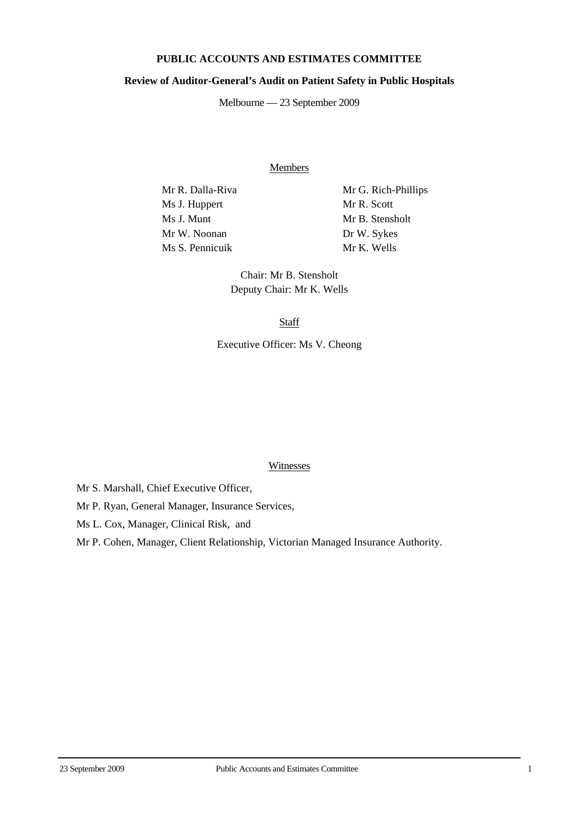## **PUBLIC ACCOUNTS AND ESTIMATES COMMITTEE**

## **Review of Auditor-General's Audit on Patient Safety in Public Hospitals**

Melbourne — 23 September 2009

Members

Ms J. Huppert Mr R. Scott Ms J. Munt Mr B. Stensholt Mr W. Noonan Dr W. Sykes Ms S. Pennicuik Mr K. Wells

Mr R. Dalla-Riva Mr G. Rich-Phillips

Chair: Mr B. Stensholt Deputy Chair: Mr K. Wells

**Staff** 

Executive Officer: Ms V. Cheong

## Witnesses

Mr S. Marshall, Chief Executive Officer,

Mr P. Ryan, General Manager, Insurance Services,

Ms L. Cox, Manager, Clinical Risk, and

Mr P. Cohen, Manager, Client Relationship, Victorian Managed Insurance Authority.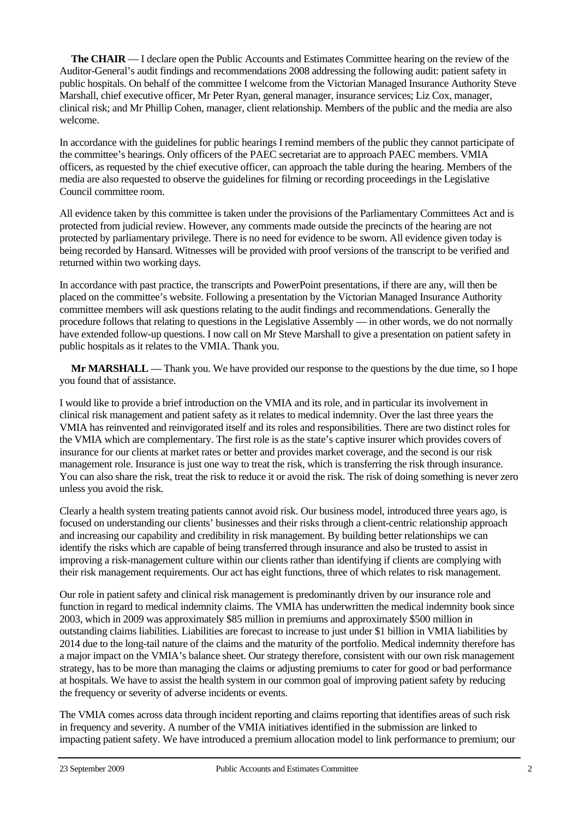**The CHAIR** — I declare open the Public Accounts and Estimates Committee hearing on the review of the Auditor-General's audit findings and recommendations 2008 addressing the following audit: patient safety in public hospitals. On behalf of the committee I welcome from the Victorian Managed Insurance Authority Steve Marshall, chief executive officer, Mr Peter Ryan, general manager, insurance services; Liz Cox, manager, clinical risk; and Mr Phillip Cohen, manager, client relationship. Members of the public and the media are also welcome.

In accordance with the guidelines for public hearings I remind members of the public they cannot participate of the committee's hearings. Only officers of the PAEC secretariat are to approach PAEC members. VMIA officers, as requested by the chief executive officer, can approach the table during the hearing. Members of the media are also requested to observe the guidelines for filming or recording proceedings in the Legislative Council committee room.

All evidence taken by this committee is taken under the provisions of the Parliamentary Committees Act and is protected from judicial review. However, any comments made outside the precincts of the hearing are not protected by parliamentary privilege. There is no need for evidence to be sworn. All evidence given today is being recorded by Hansard. Witnesses will be provided with proof versions of the transcript to be verified and returned within two working days.

In accordance with past practice, the transcripts and PowerPoint presentations, if there are any, will then be placed on the committee's website. Following a presentation by the Victorian Managed Insurance Authority committee members will ask questions relating to the audit findings and recommendations. Generally the procedure follows that relating to questions in the Legislative Assembly — in other words, we do not normally have extended follow-up questions. I now call on Mr Steve Marshall to give a presentation on patient safety in public hospitals as it relates to the VMIA. Thank you.

**Mr MARSHALL** — Thank you. We have provided our response to the questions by the due time, so I hope you found that of assistance.

I would like to provide a brief introduction on the VMIA and its role, and in particular its involvement in clinical risk management and patient safety as it relates to medical indemnity. Over the last three years the VMIA has reinvented and reinvigorated itself and its roles and responsibilities. There are two distinct roles for the VMIA which are complementary. The first role is as the state's captive insurer which provides covers of insurance for our clients at market rates or better and provides market coverage, and the second is our risk management role. Insurance is just one way to treat the risk, which is transferring the risk through insurance. You can also share the risk, treat the risk to reduce it or avoid the risk. The risk of doing something is never zero unless you avoid the risk.

Clearly a health system treating patients cannot avoid risk. Our business model, introduced three years ago, is focused on understanding our clients' businesses and their risks through a client-centric relationship approach and increasing our capability and credibility in risk management. By building better relationships we can identify the risks which are capable of being transferred through insurance and also be trusted to assist in improving a risk-management culture within our clients rather than identifying if clients are complying with their risk management requirements. Our act has eight functions, three of which relates to risk management.

Our role in patient safety and clinical risk management is predominantly driven by our insurance role and function in regard to medical indemnity claims. The VMIA has underwritten the medical indemnity book since 2003, which in 2009 was approximately \$85 million in premiums and approximately \$500 million in outstanding claims liabilities. Liabilities are forecast to increase to just under \$1 billion in VMIA liabilities by 2014 due to the long-tail nature of the claims and the maturity of the portfolio. Medical indemnity therefore has a major impact on the VMIA's balance sheet. Our strategy therefore, consistent with our own risk management strategy, has to be more than managing the claims or adjusting premiums to cater for good or bad performance at hospitals. We have to assist the health system in our common goal of improving patient safety by reducing the frequency or severity of adverse incidents or events.

The VMIA comes across data through incident reporting and claims reporting that identifies areas of such risk in frequency and severity. A number of the VMIA initiatives identified in the submission are linked to impacting patient safety. We have introduced a premium allocation model to link performance to premium; our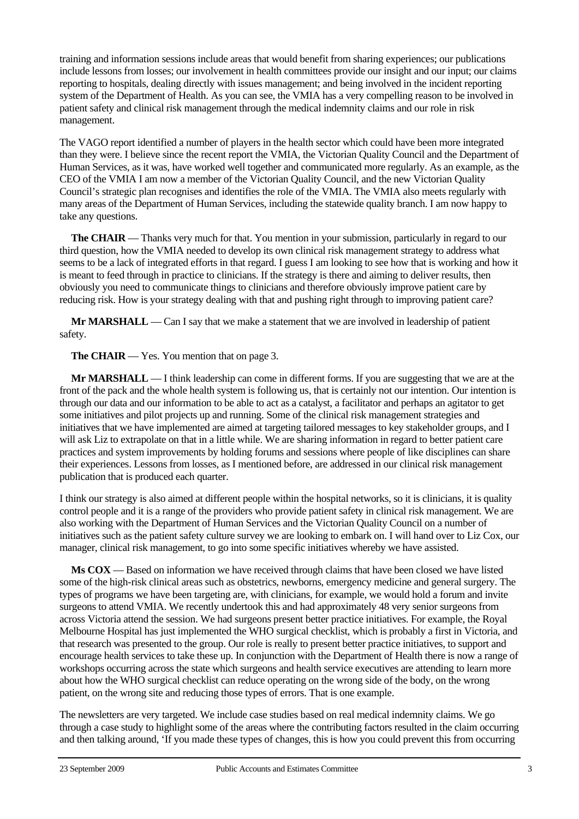training and information sessions include areas that would benefit from sharing experiences; our publications include lessons from losses; our involvement in health committees provide our insight and our input; our claims reporting to hospitals, dealing directly with issues management; and being involved in the incident reporting system of the Department of Health. As you can see, the VMIA has a very compelling reason to be involved in patient safety and clinical risk management through the medical indemnity claims and our role in risk management.

The VAGO report identified a number of players in the health sector which could have been more integrated than they were. I believe since the recent report the VMIA, the Victorian Quality Council and the Department of Human Services, as it was, have worked well together and communicated more regularly. As an example, as the CEO of the VMIA I am now a member of the Victorian Quality Council, and the new Victorian Quality Council's strategic plan recognises and identifies the role of the VMIA. The VMIA also meets regularly with many areas of the Department of Human Services, including the statewide quality branch. I am now happy to take any questions.

**The CHAIR** — Thanks very much for that. You mention in your submission, particularly in regard to our third question, how the VMIA needed to develop its own clinical risk management strategy to address what seems to be a lack of integrated efforts in that regard. I guess I am looking to see how that is working and how it is meant to feed through in practice to clinicians. If the strategy is there and aiming to deliver results, then obviously you need to communicate things to clinicians and therefore obviously improve patient care by reducing risk. How is your strategy dealing with that and pushing right through to improving patient care?

**Mr MARSHALL** — Can I say that we make a statement that we are involved in leadership of patient safety.

**The CHAIR** — Yes. You mention that on page 3.

**Mr MARSHALL** — I think leadership can come in different forms. If you are suggesting that we are at the front of the pack and the whole health system is following us, that is certainly not our intention. Our intention is through our data and our information to be able to act as a catalyst, a facilitator and perhaps an agitator to get some initiatives and pilot projects up and running. Some of the clinical risk management strategies and initiatives that we have implemented are aimed at targeting tailored messages to key stakeholder groups, and I will ask Liz to extrapolate on that in a little while. We are sharing information in regard to better patient care practices and system improvements by holding forums and sessions where people of like disciplines can share their experiences. Lessons from losses, as I mentioned before, are addressed in our clinical risk management publication that is produced each quarter.

I think our strategy is also aimed at different people within the hospital networks, so it is clinicians, it is quality control people and it is a range of the providers who provide patient safety in clinical risk management. We are also working with the Department of Human Services and the Victorian Quality Council on a number of initiatives such as the patient safety culture survey we are looking to embark on. I will hand over to Liz Cox, our manager, clinical risk management, to go into some specific initiatives whereby we have assisted.

**Ms COX** — Based on information we have received through claims that have been closed we have listed some of the high-risk clinical areas such as obstetrics, newborns, emergency medicine and general surgery. The types of programs we have been targeting are, with clinicians, for example, we would hold a forum and invite surgeons to attend VMIA. We recently undertook this and had approximately 48 very senior surgeons from across Victoria attend the session. We had surgeons present better practice initiatives. For example, the Royal Melbourne Hospital has just implemented the WHO surgical checklist, which is probably a first in Victoria, and that research was presented to the group. Our role is really to present better practice initiatives, to support and encourage health services to take these up. In conjunction with the Department of Health there is now a range of workshops occurring across the state which surgeons and health service executives are attending to learn more about how the WHO surgical checklist can reduce operating on the wrong side of the body, on the wrong patient, on the wrong site and reducing those types of errors. That is one example.

The newsletters are very targeted. We include case studies based on real medical indemnity claims. We go through a case study to highlight some of the areas where the contributing factors resulted in the claim occurring and then talking around, 'If you made these types of changes, this is how you could prevent this from occurring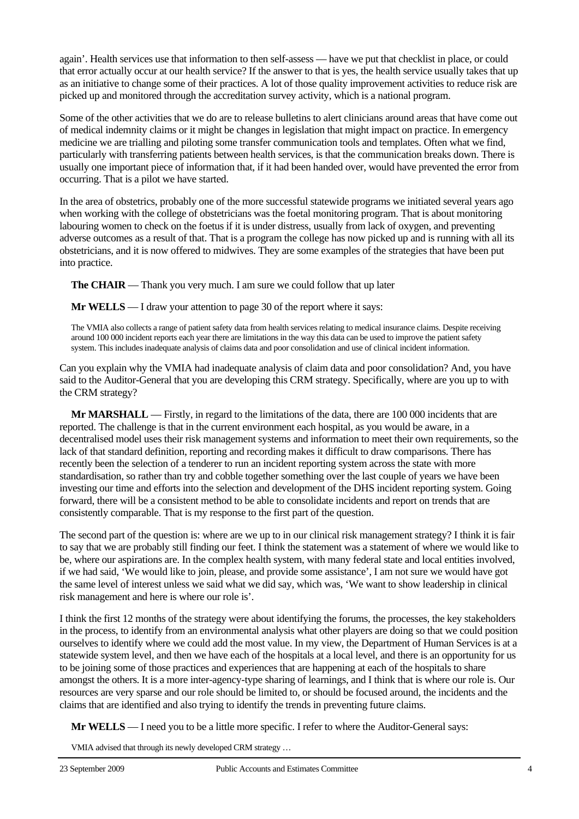again'. Health services use that information to then self-assess — have we put that checklist in place, or could that error actually occur at our health service? If the answer to that is yes, the health service usually takes that up as an initiative to change some of their practices. A lot of those quality improvement activities to reduce risk are picked up and monitored through the accreditation survey activity, which is a national program.

Some of the other activities that we do are to release bulletins to alert clinicians around areas that have come out of medical indemnity claims or it might be changes in legislation that might impact on practice. In emergency medicine we are trialling and piloting some transfer communication tools and templates. Often what we find, particularly with transferring patients between health services, is that the communication breaks down. There is usually one important piece of information that, if it had been handed over, would have prevented the error from occurring. That is a pilot we have started.

In the area of obstetrics, probably one of the more successful statewide programs we initiated several years ago when working with the college of obstetricians was the foetal monitoring program. That is about monitoring labouring women to check on the foetus if it is under distress, usually from lack of oxygen, and preventing adverse outcomes as a result of that. That is a program the college has now picked up and is running with all its obstetricians, and it is now offered to midwives. They are some examples of the strategies that have been put into practice.

**The CHAIR** — Thank you very much. I am sure we could follow that up later

**Mr WELLS** — I draw your attention to page 30 of the report where it says:

The VMIA also collects a range of patient safety data from health services relating to medical insurance claims. Despite receiving around 100 000 incident reports each year there are limitations in the way this data can be used to improve the patient safety system. This includes inadequate analysis of claims data and poor consolidation and use of clinical incident information.

Can you explain why the VMIA had inadequate analysis of claim data and poor consolidation? And, you have said to the Auditor-General that you are developing this CRM strategy. Specifically, where are you up to with the CRM strategy?

**Mr MARSHALL** — Firstly, in regard to the limitations of the data, there are 100 000 incidents that are reported. The challenge is that in the current environment each hospital, as you would be aware, in a decentralised model uses their risk management systems and information to meet their own requirements, so the lack of that standard definition, reporting and recording makes it difficult to draw comparisons. There has recently been the selection of a tenderer to run an incident reporting system across the state with more standardisation, so rather than try and cobble together something over the last couple of years we have been investing our time and efforts into the selection and development of the DHS incident reporting system. Going forward, there will be a consistent method to be able to consolidate incidents and report on trends that are consistently comparable. That is my response to the first part of the question.

The second part of the question is: where are we up to in our clinical risk management strategy? I think it is fair to say that we are probably still finding our feet. I think the statement was a statement of where we would like to be, where our aspirations are. In the complex health system, with many federal state and local entities involved, if we had said, 'We would like to join, please, and provide some assistance', I am not sure we would have got the same level of interest unless we said what we did say, which was, 'We want to show leadership in clinical risk management and here is where our role is'.

I think the first 12 months of the strategy were about identifying the forums, the processes, the key stakeholders in the process, to identify from an environmental analysis what other players are doing so that we could position ourselves to identify where we could add the most value. In my view, the Department of Human Services is at a statewide system level, and then we have each of the hospitals at a local level, and there is an opportunity for us to be joining some of those practices and experiences that are happening at each of the hospitals to share amongst the others. It is a more inter-agency-type sharing of learnings, and I think that is where our role is. Our resources are very sparse and our role should be limited to, or should be focused around, the incidents and the claims that are identified and also trying to identify the trends in preventing future claims.

**Mr WELLS** — I need you to be a little more specific. I refer to where the Auditor-General says:

VMIA advised that through its newly developed CRM strategy …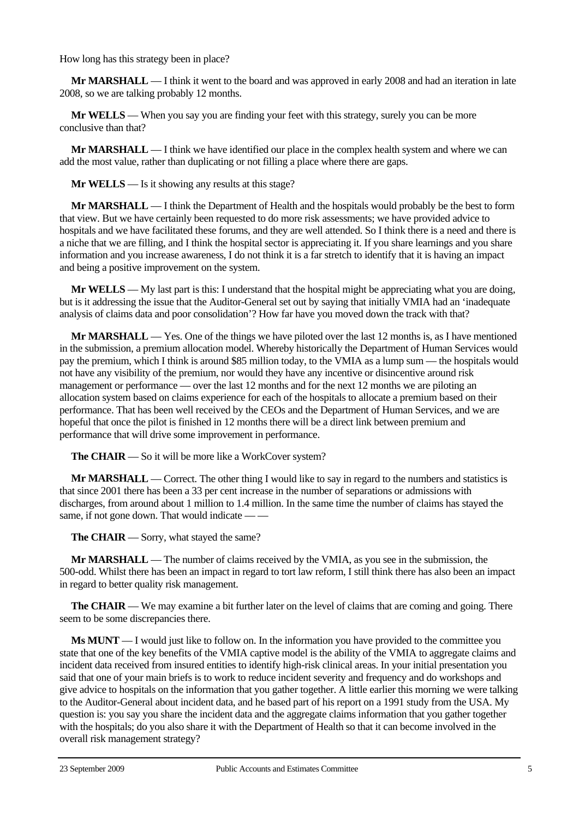How long has this strategy been in place?

**Mr MARSHALL** — I think it went to the board and was approved in early 2008 and had an iteration in late 2008, so we are talking probably 12 months.

**Mr WELLS** — When you say you are finding your feet with this strategy, surely you can be more conclusive than that?

**Mr MARSHALL** — I think we have identified our place in the complex health system and where we can add the most value, rather than duplicating or not filling a place where there are gaps.

**Mr WELLS** — Is it showing any results at this stage?

**Mr MARSHALL** — I think the Department of Health and the hospitals would probably be the best to form that view. But we have certainly been requested to do more risk assessments; we have provided advice to hospitals and we have facilitated these forums, and they are well attended. So I think there is a need and there is a niche that we are filling, and I think the hospital sector is appreciating it. If you share learnings and you share information and you increase awareness, I do not think it is a far stretch to identify that it is having an impact and being a positive improvement on the system.

**Mr WELLS** — My last part is this: I understand that the hospital might be appreciating what you are doing, but is it addressing the issue that the Auditor-General set out by saying that initially VMIA had an 'inadequate analysis of claims data and poor consolidation'? How far have you moved down the track with that?

**Mr MARSHALL** — Yes. One of the things we have piloted over the last 12 months is, as I have mentioned in the submission, a premium allocation model. Whereby historically the Department of Human Services would pay the premium, which I think is around \$85 million today, to the VMIA as a lump sum — the hospitals would not have any visibility of the premium, nor would they have any incentive or disincentive around risk management or performance — over the last 12 months and for the next 12 months we are piloting an allocation system based on claims experience for each of the hospitals to allocate a premium based on their performance. That has been well received by the CEOs and the Department of Human Services, and we are hopeful that once the pilot is finished in 12 months there will be a direct link between premium and performance that will drive some improvement in performance.

**The CHAIR** — So it will be more like a WorkCover system?

**Mr MARSHALL** — Correct. The other thing I would like to say in regard to the numbers and statistics is that since 2001 there has been a 33 per cent increase in the number of separations or admissions with discharges, from around about 1 million to 1.4 million. In the same time the number of claims has stayed the same, if not gone down. That would indicate — —

**The CHAIR** — Sorry, what stayed the same?

**Mr MARSHALL** — The number of claims received by the VMIA, as you see in the submission, the 500-odd. Whilst there has been an impact in regard to tort law reform, I still think there has also been an impact in regard to better quality risk management.

**The CHAIR** — We may examine a bit further later on the level of claims that are coming and going. There seem to be some discrepancies there.

**Ms MUNT** — I would just like to follow on. In the information you have provided to the committee you state that one of the key benefits of the VMIA captive model is the ability of the VMIA to aggregate claims and incident data received from insured entities to identify high-risk clinical areas. In your initial presentation you said that one of your main briefs is to work to reduce incident severity and frequency and do workshops and give advice to hospitals on the information that you gather together. A little earlier this morning we were talking to the Auditor-General about incident data, and he based part of his report on a 1991 study from the USA. My question is: you say you share the incident data and the aggregate claims information that you gather together with the hospitals; do you also share it with the Department of Health so that it can become involved in the overall risk management strategy?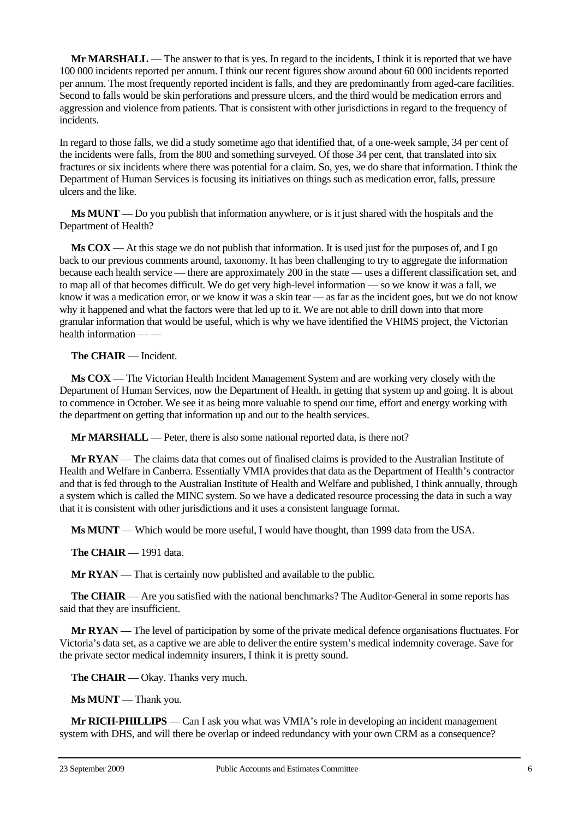**Mr MARSHALL** — The answer to that is yes. In regard to the incidents, I think it is reported that we have 100 000 incidents reported per annum. I think our recent figures show around about 60 000 incidents reported per annum. The most frequently reported incident is falls, and they are predominantly from aged-care facilities. Second to falls would be skin perforations and pressure ulcers, and the third would be medication errors and aggression and violence from patients. That is consistent with other jurisdictions in regard to the frequency of incidents.

In regard to those falls, we did a study sometime ago that identified that, of a one-week sample, 34 per cent of the incidents were falls, from the 800 and something surveyed. Of those 34 per cent, that translated into six fractures or six incidents where there was potential for a claim. So, yes, we do share that information. I think the Department of Human Services is focusing its initiatives on things such as medication error, falls, pressure ulcers and the like.

**Ms MUNT** — Do you publish that information anywhere, or is it just shared with the hospitals and the Department of Health?

**Ms COX** — At this stage we do not publish that information. It is used just for the purposes of, and I go back to our previous comments around, taxonomy. It has been challenging to try to aggregate the information because each health service — there are approximately 200 in the state — uses a different classification set, and to map all of that becomes difficult. We do get very high-level information — so we know it was a fall, we know it was a medication error, or we know it was a skin tear — as far as the incident goes, but we do not know why it happened and what the factors were that led up to it. We are not able to drill down into that more granular information that would be useful, which is why we have identified the VHIMS project, the Victorian health information — —

**The CHAIR** — Incident.

**Ms COX** — The Victorian Health Incident Management System and are working very closely with the Department of Human Services, now the Department of Health, in getting that system up and going. It is about to commence in October. We see it as being more valuable to spend our time, effort and energy working with the department on getting that information up and out to the health services.

**Mr MARSHALL** — Peter, there is also some national reported data, is there not?

**Mr RYAN** — The claims data that comes out of finalised claims is provided to the Australian Institute of Health and Welfare in Canberra. Essentially VMIA provides that data as the Department of Health's contractor and that is fed through to the Australian Institute of Health and Welfare and published, I think annually, through a system which is called the MINC system. So we have a dedicated resource processing the data in such a way that it is consistent with other jurisdictions and it uses a consistent language format.

**Ms MUNT** — Which would be more useful, I would have thought, than 1999 data from the USA.

**The CHAIR** — 1991 data.

**Mr RYAN** — That is certainly now published and available to the public.

**The CHAIR** — Are you satisfied with the national benchmarks? The Auditor-General in some reports has said that they are insufficient.

**Mr RYAN** — The level of participation by some of the private medical defence organisations fluctuates. For Victoria's data set, as a captive we are able to deliver the entire system's medical indemnity coverage. Save for the private sector medical indemnity insurers, I think it is pretty sound.

**The CHAIR** — Okay. Thanks very much.

**Ms MUNT** — Thank you.

**Mr RICH-PHILLIPS** — Can I ask you what was VMIA's role in developing an incident management system with DHS, and will there be overlap or indeed redundancy with your own CRM as a consequence?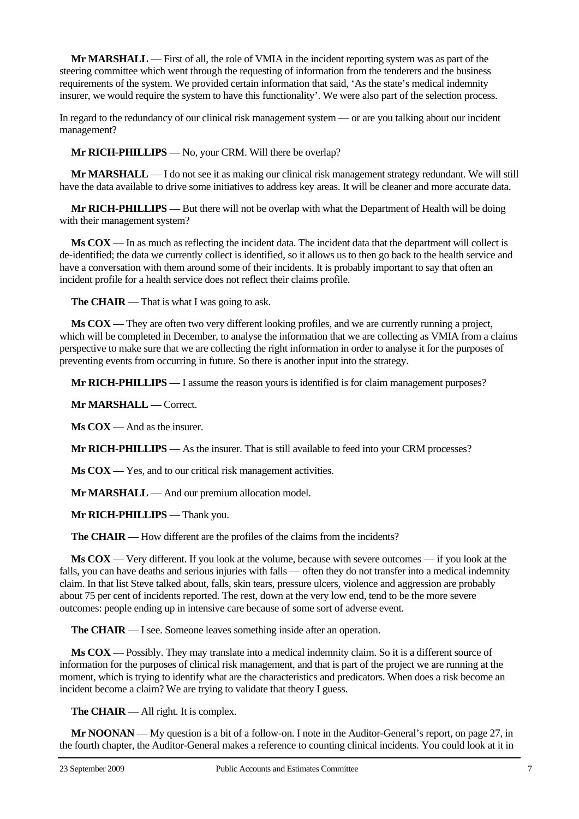**Mr MARSHALL** — First of all, the role of VMIA in the incident reporting system was as part of the steering committee which went through the requesting of information from the tenderers and the business requirements of the system. We provided certain information that said, 'As the state's medical indemnity insurer, we would require the system to have this functionality'. We were also part of the selection process.

In regard to the redundancy of our clinical risk management system — or are you talking about our incident management?

**Mr RICH-PHILLIPS** — No, your CRM. Will there be overlap?

**Mr MARSHALL** — I do not see it as making our clinical risk management strategy redundant. We will still have the data available to drive some initiatives to address key areas. It will be cleaner and more accurate data.

**Mr RICH-PHILLIPS** — But there will not be overlap with what the Department of Health will be doing with their management system?

**Ms COX** — In as much as reflecting the incident data. The incident data that the department will collect is de-identified; the data we currently collect is identified, so it allows us to then go back to the health service and have a conversation with them around some of their incidents. It is probably important to say that often an incident profile for a health service does not reflect their claims profile.

**The CHAIR** — That is what I was going to ask.

**Ms COX** — They are often two very different looking profiles, and we are currently running a project, which will be completed in December, to analyse the information that we are collecting as VMIA from a claims perspective to make sure that we are collecting the right information in order to analyse it for the purposes of preventing events from occurring in future. So there is another input into the strategy.

**Mr RICH-PHILLIPS** — I assume the reason yours is identified is for claim management purposes?

**Mr MARSHALL** — Correct.

**Ms COX** — And as the insurer.

**Mr RICH-PHILLIPS** — As the insurer. That is still available to feed into your CRM processes?

**Ms COX** — Yes, and to our critical risk management activities.

**Mr MARSHALL** — And our premium allocation model.

**Mr RICH-PHILLIPS** — Thank you.

**The CHAIR** — How different are the profiles of the claims from the incidents?

**Ms COX** — Very different. If you look at the volume, because with severe outcomes — if you look at the falls, you can have deaths and serious injuries with falls — often they do not transfer into a medical indemnity claim. In that list Steve talked about, falls, skin tears, pressure ulcers, violence and aggression are probably about 75 per cent of incidents reported. The rest, down at the very low end, tend to be the more severe outcomes: people ending up in intensive care because of some sort of adverse event.

**The CHAIR** — I see. Someone leaves something inside after an operation.

**Ms COX** — Possibly. They may translate into a medical indemnity claim. So it is a different source of information for the purposes of clinical risk management, and that is part of the project we are running at the moment, which is trying to identify what are the characteristics and predicators. When does a risk become an incident become a claim? We are trying to validate that theory I guess.

**The CHAIR** — All right. It is complex.

**Mr NOONAN** — My question is a bit of a follow-on. I note in the Auditor-General's report, on page 27, in the fourth chapter, the Auditor-General makes a reference to counting clinical incidents. You could look at it in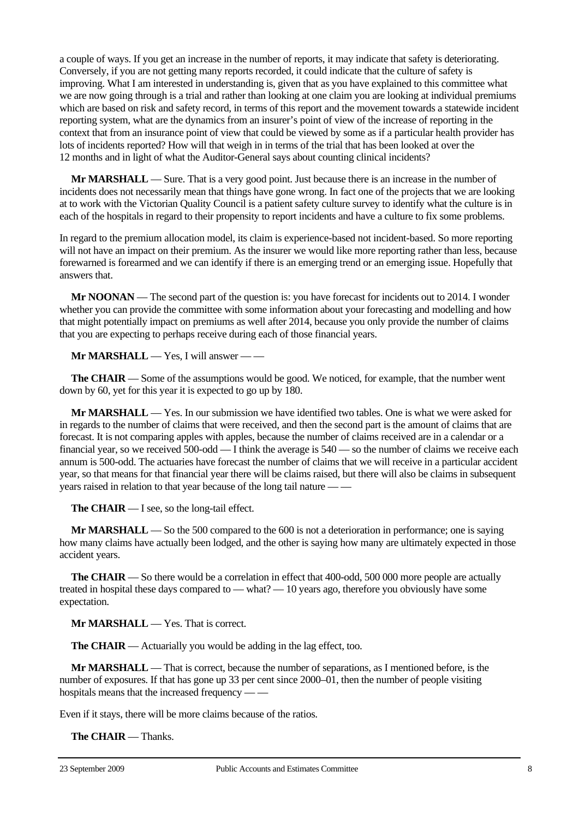a couple of ways. If you get an increase in the number of reports, it may indicate that safety is deteriorating. Conversely, if you are not getting many reports recorded, it could indicate that the culture of safety is improving. What I am interested in understanding is, given that as you have explained to this committee what we are now going through is a trial and rather than looking at one claim you are looking at individual premiums which are based on risk and safety record, in terms of this report and the movement towards a statewide incident reporting system, what are the dynamics from an insurer's point of view of the increase of reporting in the context that from an insurance point of view that could be viewed by some as if a particular health provider has lots of incidents reported? How will that weigh in in terms of the trial that has been looked at over the 12 months and in light of what the Auditor-General says about counting clinical incidents?

**Mr MARSHALL** — Sure. That is a very good point. Just because there is an increase in the number of incidents does not necessarily mean that things have gone wrong. In fact one of the projects that we are looking at to work with the Victorian Quality Council is a patient safety culture survey to identify what the culture is in each of the hospitals in regard to their propensity to report incidents and have a culture to fix some problems.

In regard to the premium allocation model, its claim is experience-based not incident-based. So more reporting will not have an impact on their premium. As the insurer we would like more reporting rather than less, because forewarned is forearmed and we can identify if there is an emerging trend or an emerging issue. Hopefully that answers that.

**Mr NOONAN** — The second part of the question is: you have forecast for incidents out to 2014. I wonder whether you can provide the committee with some information about your forecasting and modelling and how that might potentially impact on premiums as well after 2014, because you only provide the number of claims that you are expecting to perhaps receive during each of those financial years.

**Mr MARSHALL** — Yes, I will answer — —

**The CHAIR** — Some of the assumptions would be good. We noticed, for example, that the number went down by 60, yet for this year it is expected to go up by 180.

**Mr MARSHALL** — Yes. In our submission we have identified two tables. One is what we were asked for in regards to the number of claims that were received, and then the second part is the amount of claims that are forecast. It is not comparing apples with apples, because the number of claims received are in a calendar or a financial year, so we received 500-odd — I think the average is 540 — so the number of claims we receive each annum is 500-odd. The actuaries have forecast the number of claims that we will receive in a particular accident year, so that means for that financial year there will be claims raised, but there will also be claims in subsequent years raised in relation to that year because of the long tail nature — —

**The CHAIR** — I see, so the long-tail effect.

**Mr MARSHALL** — So the 500 compared to the 600 is not a deterioration in performance; one is saying how many claims have actually been lodged, and the other is saying how many are ultimately expected in those accident years.

**The CHAIR** — So there would be a correlation in effect that 400-odd, 500 000 more people are actually treated in hospital these days compared to — what? — 10 years ago, therefore you obviously have some expectation.

**Mr MARSHALL** — Yes. That is correct.

**The CHAIR** — Actuarially you would be adding in the lag effect, too.

**Mr MARSHALL** — That is correct, because the number of separations, as I mentioned before, is the number of exposures. If that has gone up 33 per cent since 2000–01, then the number of people visiting hospitals means that the increased frequency — —

Even if it stays, there will be more claims because of the ratios.

**The CHAIR** — Thanks.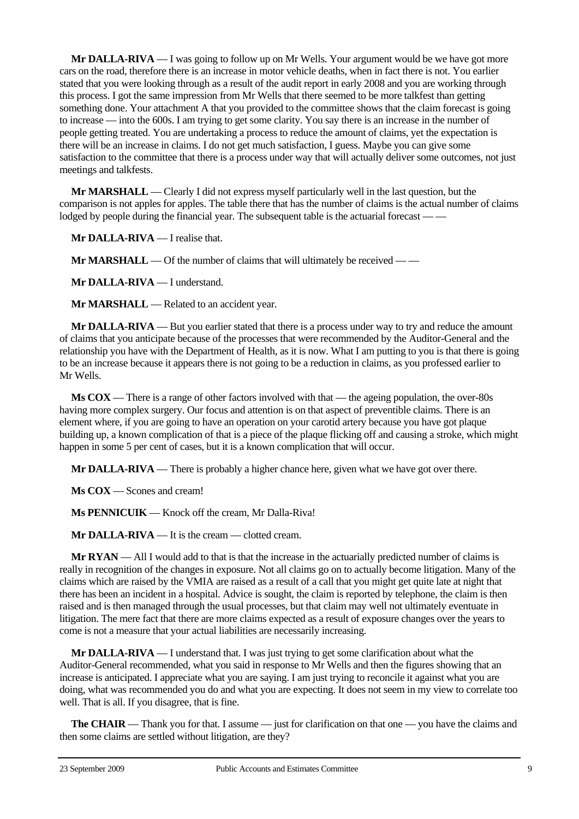**Mr DALLA-RIVA** — I was going to follow up on Mr Wells. Your argument would be we have got more cars on the road, therefore there is an increase in motor vehicle deaths, when in fact there is not. You earlier stated that you were looking through as a result of the audit report in early 2008 and you are working through this process. I got the same impression from Mr Wells that there seemed to be more talkfest than getting something done. Your attachment A that you provided to the committee shows that the claim forecast is going to increase — into the 600s. I am trying to get some clarity. You say there is an increase in the number of people getting treated. You are undertaking a process to reduce the amount of claims, yet the expectation is there will be an increase in claims. I do not get much satisfaction, I guess. Maybe you can give some satisfaction to the committee that there is a process under way that will actually deliver some outcomes, not just meetings and talkfests.

**Mr MARSHALL** — Clearly I did not express myself particularly well in the last question, but the comparison is not apples for apples. The table there that has the number of claims is the actual number of claims lodged by people during the financial year. The subsequent table is the actuarial forecast –

**Mr DALLA-RIVA** — I realise that.

**Mr MARSHALL** — Of the number of claims that will ultimately be received — —

**Mr DALLA-RIVA** — I understand.

**Mr MARSHALL** — Related to an accident year.

**Mr DALLA-RIVA** — But you earlier stated that there is a process under way to try and reduce the amount of claims that you anticipate because of the processes that were recommended by the Auditor-General and the relationship you have with the Department of Health, as it is now. What I am putting to you is that there is going to be an increase because it appears there is not going to be a reduction in claims, as you professed earlier to Mr Wells.

**Ms COX** — There is a range of other factors involved with that — the ageing population, the over-80s having more complex surgery. Our focus and attention is on that aspect of preventible claims. There is an element where, if you are going to have an operation on your carotid artery because you have got plaque building up, a known complication of that is a piece of the plaque flicking off and causing a stroke, which might happen in some 5 per cent of cases, but it is a known complication that will occur.

**Mr DALLA-RIVA** — There is probably a higher chance here, given what we have got over there.

**Ms COX** — Scones and cream!

**Ms PENNICUIK** — Knock off the cream, Mr Dalla-Riva!

**Mr DALLA-RIVA** — It is the cream — clotted cream.

**Mr RYAN** — All I would add to that is that the increase in the actuarially predicted number of claims is really in recognition of the changes in exposure. Not all claims go on to actually become litigation. Many of the claims which are raised by the VMIA are raised as a result of a call that you might get quite late at night that there has been an incident in a hospital. Advice is sought, the claim is reported by telephone, the claim is then raised and is then managed through the usual processes, but that claim may well not ultimately eventuate in litigation. The mere fact that there are more claims expected as a result of exposure changes over the years to come is not a measure that your actual liabilities are necessarily increasing.

**Mr DALLA-RIVA** — I understand that. I was just trying to get some clarification about what the Auditor-General recommended, what you said in response to Mr Wells and then the figures showing that an increase is anticipated. I appreciate what you are saying. I am just trying to reconcile it against what you are doing, what was recommended you do and what you are expecting. It does not seem in my view to correlate too well. That is all. If you disagree, that is fine.

**The CHAIR** — Thank you for that. I assume — just for clarification on that one — you have the claims and then some claims are settled without litigation, are they?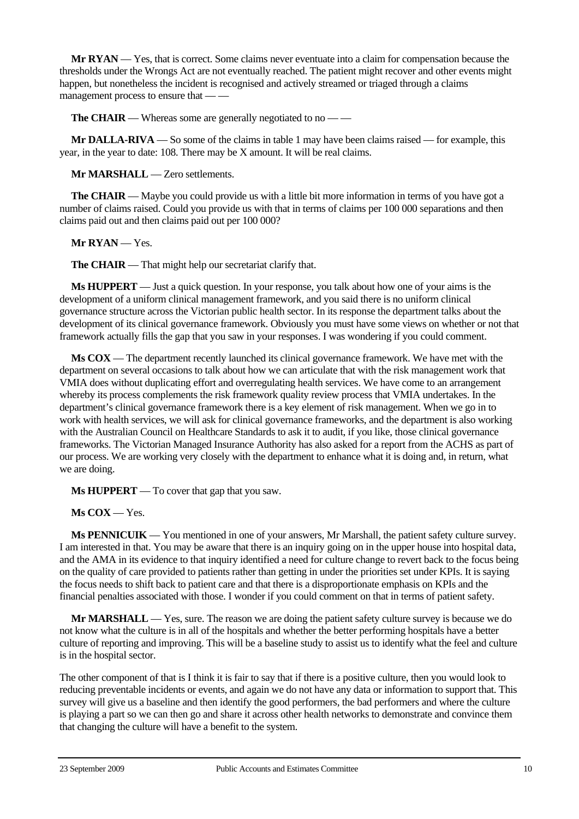**Mr RYAN** — Yes, that is correct. Some claims never eventuate into a claim for compensation because the thresholds under the Wrongs Act are not eventually reached. The patient might recover and other events might happen, but nonetheless the incident is recognised and actively streamed or triaged through a claims management process to ensure that — —

**The CHAIR** — Whereas some are generally negotiated to no — —

**Mr DALLA-RIVA** — So some of the claims in table 1 may have been claims raised — for example, this year, in the year to date: 108. There may be X amount. It will be real claims.

**Mr MARSHALL** — Zero settlements.

**The CHAIR** — Maybe you could provide us with a little bit more information in terms of you have got a number of claims raised. Could you provide us with that in terms of claims per 100 000 separations and then claims paid out and then claims paid out per 100 000?

**Mr RYAN** — Yes.

**The CHAIR** — That might help our secretariat clarify that.

**Ms HUPPERT** — Just a quick question. In your response, you talk about how one of your aims is the development of a uniform clinical management framework, and you said there is no uniform clinical governance structure across the Victorian public health sector. In its response the department talks about the development of its clinical governance framework. Obviously you must have some views on whether or not that framework actually fills the gap that you saw in your responses. I was wondering if you could comment.

**Ms COX** — The department recently launched its clinical governance framework. We have met with the department on several occasions to talk about how we can articulate that with the risk management work that VMIA does without duplicating effort and overregulating health services. We have come to an arrangement whereby its process complements the risk framework quality review process that VMIA undertakes. In the department's clinical governance framework there is a key element of risk management. When we go in to work with health services, we will ask for clinical governance frameworks, and the department is also working with the Australian Council on Healthcare Standards to ask it to audit, if you like, those clinical governance frameworks. The Victorian Managed Insurance Authority has also asked for a report from the ACHS as part of our process. We are working very closely with the department to enhance what it is doing and, in return, what we are doing.

**Ms HUPPERT** — To cover that gap that you saw.

**Ms COX** — Yes.

**Ms PENNICUIK** — You mentioned in one of your answers, Mr Marshall, the patient safety culture survey. I am interested in that. You may be aware that there is an inquiry going on in the upper house into hospital data, and the AMA in its evidence to that inquiry identified a need for culture change to revert back to the focus being on the quality of care provided to patients rather than getting in under the priorities set under KPIs. It is saying the focus needs to shift back to patient care and that there is a disproportionate emphasis on KPIs and the financial penalties associated with those. I wonder if you could comment on that in terms of patient safety.

**Mr MARSHALL** — Yes, sure. The reason we are doing the patient safety culture survey is because we do not know what the culture is in all of the hospitals and whether the better performing hospitals have a better culture of reporting and improving. This will be a baseline study to assist us to identify what the feel and culture is in the hospital sector.

The other component of that is I think it is fair to say that if there is a positive culture, then you would look to reducing preventable incidents or events, and again we do not have any data or information to support that. This survey will give us a baseline and then identify the good performers, the bad performers and where the culture is playing a part so we can then go and share it across other health networks to demonstrate and convince them that changing the culture will have a benefit to the system.